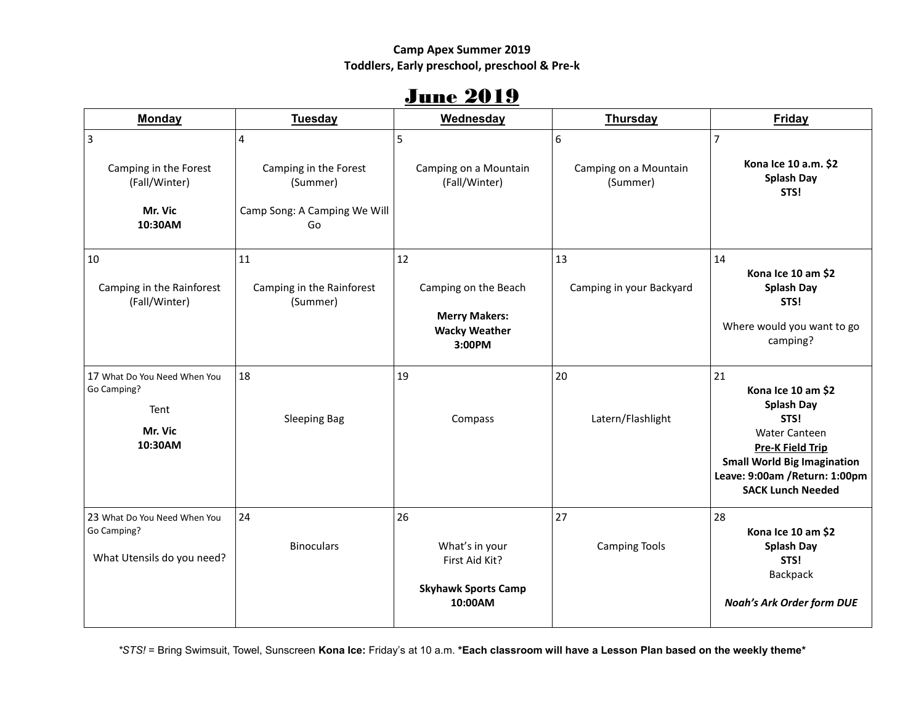#### **Camp Apex Summer 2019 Toddlers, Early preschool, preschool & Pre-k**

## **June 2019**

| <b>Monday</b>                                                             | <b>Tuesday</b>                              | Wednesday                                                                            | <b>Thursday</b>                        | <b>Friday</b>                                                                                                                                                                                                |
|---------------------------------------------------------------------------|---------------------------------------------|--------------------------------------------------------------------------------------|----------------------------------------|--------------------------------------------------------------------------------------------------------------------------------------------------------------------------------------------------------------|
| $\overline{3}$<br>Camping in the Forest<br>(Fall/Winter)                  | 4<br>Camping in the Forest<br>(Summer)      | 5<br>Camping on a Mountain<br>(Fall/Winter)                                          | 6<br>Camping on a Mountain<br>(Summer) | $\overline{7}$<br>Kona Ice 10 a.m. \$2<br><b>Splash Day</b><br>STS!                                                                                                                                          |
| Mr. Vic<br>10:30AM                                                        | Camp Song: A Camping We Will<br>Go          |                                                                                      |                                        |                                                                                                                                                                                                              |
| 10<br>Camping in the Rainforest<br>(Fall/Winter)                          | 11<br>Camping in the Rainforest<br>(Summer) | 12<br>Camping on the Beach<br><b>Merry Makers:</b><br><b>Wacky Weather</b><br>3:00PM | 13<br>Camping in your Backyard         | 14<br>Kona Ice 10 am \$2<br><b>Splash Day</b><br>STS!<br>Where would you want to go<br>camping?                                                                                                              |
| 17 What Do You Need When You<br>Go Camping?<br>Tent<br>Mr. Vic<br>10:30AM | 18<br><b>Sleeping Bag</b>                   | 19<br>Compass                                                                        | 20<br>Latern/Flashlight                | 21<br>Kona Ice 10 am \$2<br><b>Splash Day</b><br>STS!<br><b>Water Canteen</b><br><b>Pre-K Field Trip</b><br><b>Small World Big Imagination</b><br>Leave: 9:00am / Return: 1:00pm<br><b>SACK Lunch Needed</b> |
| 23 What Do You Need When You<br>Go Camping?<br>What Utensils do you need? | 24<br><b>Binoculars</b>                     | 26<br>What's in your<br>First Aid Kit?<br><b>Skyhawk Sports Camp</b><br>10:00AM      | 27<br><b>Camping Tools</b>             | 28<br>Kona Ice 10 am \$2<br><b>Splash Day</b><br>STS!<br>Backpack<br><b>Noah's Ark Order form DUE</b>                                                                                                        |

*\*STS!* = Bring Swimsuit, Towel, Sunscreen **Kona Ice:** Friday's at 10 a.m. **\*Each classroom will have a Lesson Plan based on the weekly theme\***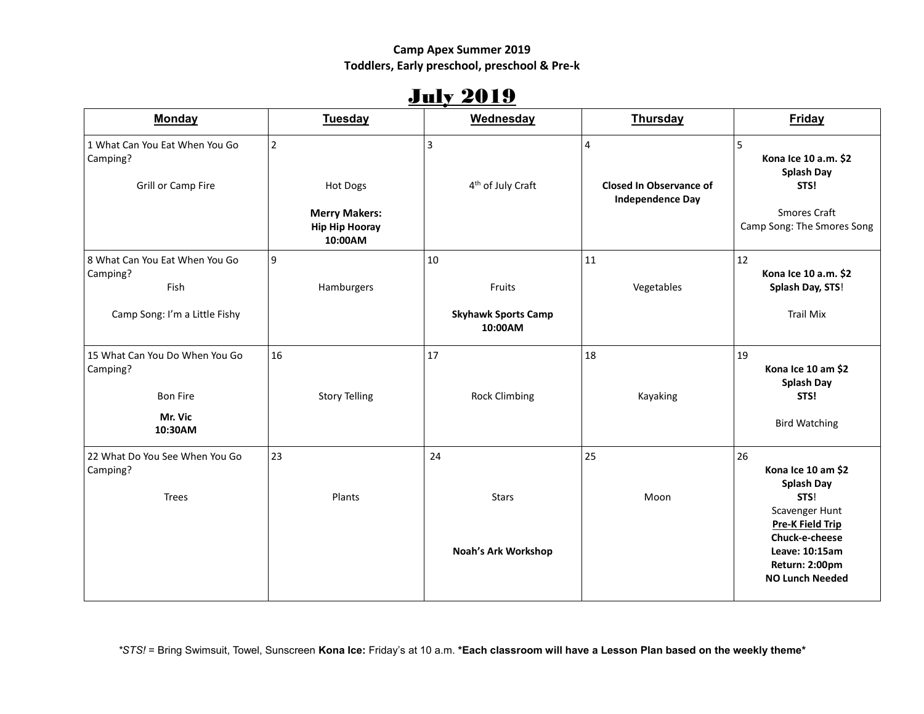### **Camp Apex Summer 2019 Toddlers, Early preschool, preschool & Pre-k**

# July 2019

| <b>Monday</b>                                                                       | <b>Tuesday</b>                                                                         | Wednesday                                             | <b>Thursday</b>                                         | Friday                                                                                                                                                                             |
|-------------------------------------------------------------------------------------|----------------------------------------------------------------------------------------|-------------------------------------------------------|---------------------------------------------------------|------------------------------------------------------------------------------------------------------------------------------------------------------------------------------------|
| 1 What Can You Eat When You Go<br>Camping?<br>Grill or Camp Fire                    | $\overline{2}$<br>Hot Dogs<br><b>Merry Makers:</b><br><b>Hip Hip Hooray</b><br>10:00AM | 3<br>4 <sup>th</sup> of July Craft                    | 4<br>Closed In Observance of<br><b>Independence Day</b> | 5<br>Kona Ice 10 a.m. \$2<br><b>Splash Day</b><br>STS!<br><b>Smores Craft</b><br>Camp Song: The Smores Song                                                                        |
| 8 What Can You Eat When You Go<br>Camping?<br>Fish<br>Camp Song: I'm a Little Fishy | 9<br>Hamburgers                                                                        | 10<br>Fruits<br><b>Skyhawk Sports Camp</b><br>10:00AM | 11<br>Vegetables                                        | 12<br>Kona Ice 10 a.m. \$2<br>Splash Day, STS!<br><b>Trail Mix</b>                                                                                                                 |
| 15 What Can You Do When You Go<br>Camping?<br><b>Bon Fire</b><br>Mr. Vic<br>10:30AM | 16<br><b>Story Telling</b>                                                             | 17<br><b>Rock Climbing</b>                            | 18<br>Kayaking                                          | 19<br>Kona Ice 10 am \$2<br><b>Splash Day</b><br>STS!<br><b>Bird Watching</b>                                                                                                      |
| 22 What Do You See When You Go<br>Camping?<br><b>Trees</b>                          | 23<br>Plants                                                                           | 24<br><b>Stars</b><br>Noah's Ark Workshop             | 25<br>Moon                                              | 26<br>Kona Ice 10 am \$2<br><b>Splash Day</b><br>STS!<br>Scavenger Hunt<br><b>Pre-K Field Trip</b><br>Chuck-e-cheese<br>Leave: 10:15am<br>Return: 2:00pm<br><b>NO Lunch Needed</b> |